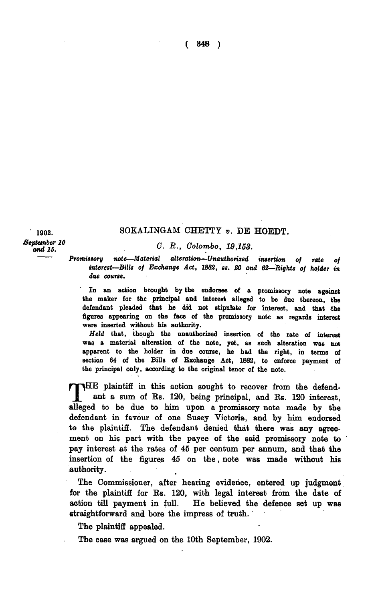1902. SOKALINGAM CHETTY *v*. DE HOEDT.

*Feptember 10*<br> *and 15. C. R., Colombo, 19,153.* 

*Promissory note—Material alteration—Unauthorized insertion of rate of interest*—Bills of Exchange Act, 1882, ss. 20 and 62—Rights of holder in *due course.* 

In an action brought by the endorsee of a promissory note against the maker for the principal and interest alleged to be due thereon, the defendant pleaded that he did not stipulate for interest, and that the figures appearing on the face of the promissory note as regards interest were inserted without his authority.

*Held* that, though the unauthorized insertion of the rate of interest was a material alteration of the note, yet, as such alteration was not apparent to the holder in due course, he had the right, in terms of section 64 of the Bills of Exchange Act, 1882, to enforce payment of the principal only, according to the original tenor of the note.

THE plaintiff in this action sought to recover from the defend-<br>ant a sum of Rs. 120, being principal, and Rs. 120 interest, ant a sum of Rs. 120, being principal, and Rs. 120 interest, alleged to be due to him upon a promissory note made by the defendant in favour of one Susey Victoria, and by him endorsed to the plaintiff. The defendant denied that there was any agreement on his part with the payee of the said promissory note to pay interest at the rates of 45 per centum per annum, and that the insertion of the figures 45 on the, note was made without his authority.

The Commissioner, after hearing evidence, entered up judgment for the plaintiff for Rs. 120, with legal interest from the date of action till payment in full. He believed the defence set up was straightforward and bore the impress of truth.

The plaintiff appealed.

The case was argued on the 10th September, 1902.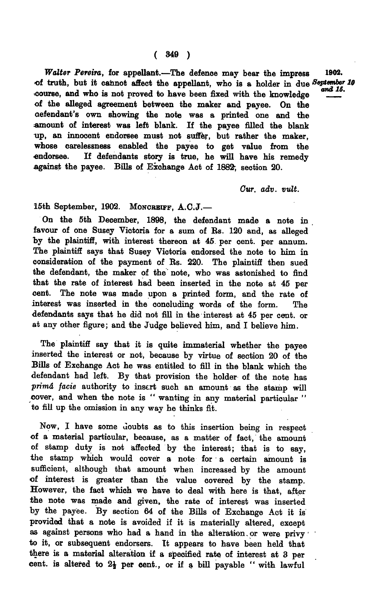*Walter Pereira,* for appellant.—The defence may bear the impress 1802. of truth, but it cannot affect the appellant, who is a holder in due September course, and who is not proved to have been fixed with the knowledge of the alleged agreement between the maker and payee. On the defendant's own showing the note was a printed one and the amount of interest was left blank. If the payee filled the blank up, an innocent endorsee must not suffer, but rather the maker, whose carelessness enabled the payee to get value from the endorsee. If defendants story is true, he will have his remedy against the payee. Bills of Exchange Act of 1882; section 20.

*Our. adv. vult.* 

15th September, 1902. MONCREIFF, A.C.J.-

On the 5th December, 1898, the defendant made a note in . favour of one Susey Victoria for a sum of Rs. 120 and, as alleged by the plaintiff, with interest thereon at 45 per cent. per annum. The plaintiff says that Susey Victoria endorsed the note to him in consideration of the payment of Rs. 220. The plaintiff then sued the defendant, the maker of the note, who was astonished to find that the rate of interest had been inserted in the note at 45 per cent. The note was made upon a printed form, and the rate of interest was inserted in the concluding words of the form. The defendants says that he did not fill in the interest at 45 per cent, or at any other figure; and the Judge believed him, and I believe him.

The plaintiff say that it is quite immaterial whether the payee inserted the interest or not, because by virtue of section 20 of the Bills of Exchange Act he was entitled to fill in the blank which the defendant had left. By that provision the holder of the note has *•primd facie* authority to insert such an amount as the stamp will cover, and when the note is " wanting in any material particular " to fill up the omission in any way he thinks fit.

Now, I have some doubts as to this insertion being in respect of a material particular, because, as a matter of fact, the amount of stamp duty is not affected by the interest; that is to say, the stamp which would cover a note for a certain amount is sufficient, although that amount when increased by the amount of interest is greater than the value covered by the stamp. However, the fact which we have to deal with here is that, after the note was made and given, the rate of interest was inserted by the payee. By section 64 of the Bills of Exchange Act it is provided that a note is avoided if it is materially altered, except as against persons who had a hand in the alteration.or were privy to it, or subsequent endorsers. It appears to have been held that there is a material alteration if a specified rate of interest at 3 per cent. is altered to  $2\frac{1}{2}$  per cent., or if a bill payable " with lawful